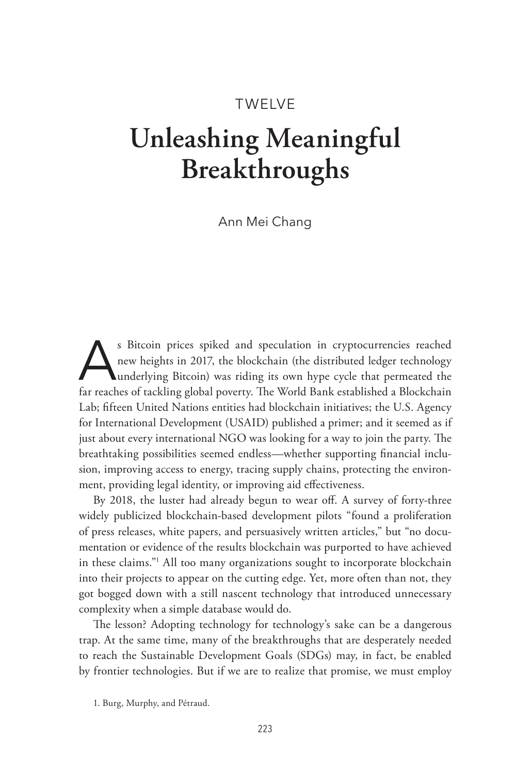# TWELVE

# **Unleashing Meaningful Breakthroughs**

Ann Mei Chang

S Bitcoin prices spiked and speculation in cryptocurrencies reached<br>new heights in 2017, the blockchain (the distributed ledger technology<br>underlying Bitcoin) was riding its own hype cycle that permeated the<br>for reaches of new heights in 2017, the blockchain (the distributed ledger technology far reaches of tackling global poverty. The World Bank established a Blockchain Lab; fifteen United Nations entities had blockchain initiatives; the U.S. Agency for International Development (USAID) published a primer; and it seemed as if just about every international NGO was looking for a way to join the party. The breathtaking possibilities seemed endless—whether supporting financial inclusion, improving access to energy, tracing supply chains, protecting the environment, providing legal identity, or improving aid effectiveness.

By 2018, the luster had already begun to wear off. A survey of forty-three widely publicized blockchain-based development pilots "found a proliferation of press releases, white papers, and persuasively written articles," but "no documentation or evidence of the results blockchain was purported to have achieved in these claims."1 All too many organizations sought to incorporate blockchain into their projects to appear on the cutting edge. Yet, more often than not, they got bogged down with a still nascent technology that introduced unnecessary complexity when a simple database would do.

The lesson? Adopting technology for technology's sake can be a dangerous trap. At the same time, many of the breakthroughs that are desperately needed to reach the Sustainable Development Goals (SDGs) may, in fact, be enabled by frontier technologies. But if we are to realize that promise, we must employ

<sup>1.</sup> Burg, Murphy, and Pétraud.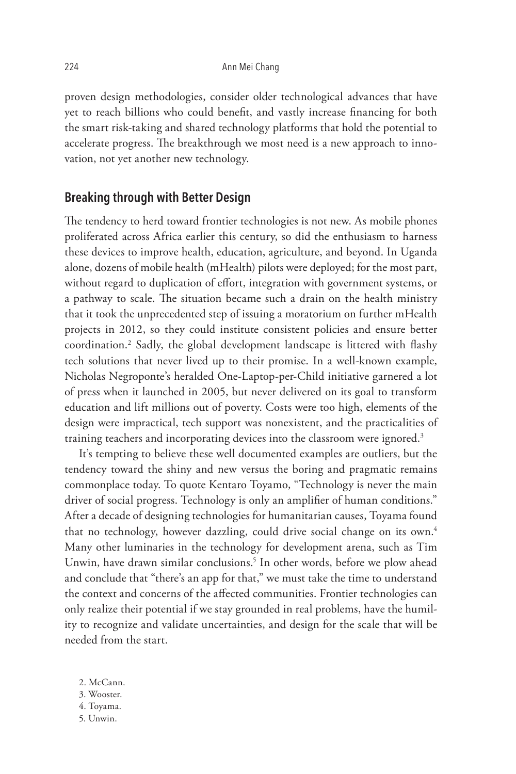proven design methodologies, consider older technological advances that have yet to reach billions who could benefit, and vastly increase financing for both the smart risk-taking and shared technology platforms that hold the potential to accelerate progress. The breakthrough we most need is a new approach to innovation, not yet another new technology.

## **Breaking through with Better Design**

The tendency to herd toward frontier technologies is not new. As mobile phones proliferated across Africa earlier this century, so did the enthusiasm to harness these devices to improve health, education, agriculture, and beyond. In Uganda alone, dozens of mobile health (mHealth) pilots were deployed; for the most part, without regard to duplication of effort, integration with government systems, or a pathway to scale. The situation became such a drain on the health ministry that it took the unprecedented step of issuing a moratorium on further mHealth projects in 2012, so they could institute consistent policies and ensure better coordination.2 Sadly, the global development landscape is littered with flashy tech solutions that never lived up to their promise. In a well-known example, Nicholas Negroponte's heralded One-Laptop-per-Child initiative garnered a lot of press when it launched in 2005, but never delivered on its goal to transform education and lift millions out of poverty. Costs were too high, elements of the design were impractical, tech support was nonexistent, and the practicalities of training teachers and incorporating devices into the classroom were ignored.<sup>3</sup>

It's tempting to believe these well documented examples are outliers, but the tendency toward the shiny and new versus the boring and pragmatic remains commonplace today. To quote Kentaro Toyamo, "Technology is never the main driver of social progress. Technology is only an amplifier of human conditions." After a decade of designing technologies for humanitarian causes, Toyama found that no technology, however dazzling, could drive social change on its own.<sup>4</sup> Many other luminaries in the technology for development arena, such as Tim Unwin, have drawn similar conclusions.<sup>5</sup> In other words, before we plow ahead and conclude that "there's an app for that," we must take the time to understand the context and concerns of the affected communities. Frontier technologies can only realize their potential if we stay grounded in real problems, have the humility to recognize and validate uncertainties, and design for the scale that will be needed from the start.

2. McCann. 3. Wooster. 4. Toyama. 5. Unwin.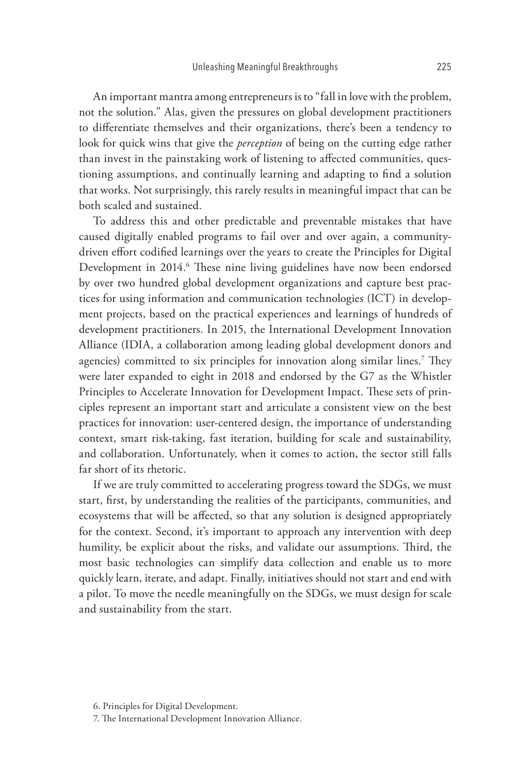An important mantra among entrepreneurs is to "fall in love with the problem, not the solution." Alas, given the pressures on global development practitioners to differentiate themselves and their organizations, there's been a tendency to look for quick wins that give the *perception* of being on the cutting edge rather than invest in the painstaking work of listening to affected communities, questioning assumptions, and continually learning and adapting to find a solution that works. Not surprisingly, this rarely results in meaningful impact that can be both scaled and sustained.

To address this and other predictable and preventable mistakes that have caused digitally enabled programs to fail over and over again, a communitydriven effort codified learnings over the years to create the Principles for Digital Development in 2014. These nine living guidelines have now been endorsed by over two hundred global development organizations and capture best practices for using information and communication technologies (ICT) in development projects, based on the practical experiences and learnings of hundreds of development practitioners. In 2015, the International Development Innovation Alliance (IDIA, a collaboration among leading global development donors and agencies) committed to six principles for innovation along similar lines.7 They were later expanded to eight in 2018 and endorsed by the G7 as the Whistler Principles to Accelerate Innovation for Development Impact. These sets of principles represent an important start and articulate a consistent view on the best practices for innovation: user-centered design, the importance of understanding context, smart risk-taking, fast iteration, building for scale and sustainability, and collaboration. Unfortunately, when it comes to action, the sector still falls far short of its rhetoric.

If we are truly committed to accelerating progress toward the SDGs, we must start, first, by understanding the realities of the participants, communities, and ecosystems that will be affected, so that any solution is designed appropriately for the context. Second, it's important to approach any intervention with deep humility, be explicit about the risks, and validate our assumptions. Third, the most basic technologies can simplify data collection and enable us to more quickly learn, iterate, and adapt. Finally, initiatives should not start and end with a pilot. To move the needle meaningfully on the SDGs, we must design for scale and sustainability from the start.

<sup>6.</sup> Principles for Digital Development.

<sup>7.</sup> The International Development Innovation Alliance.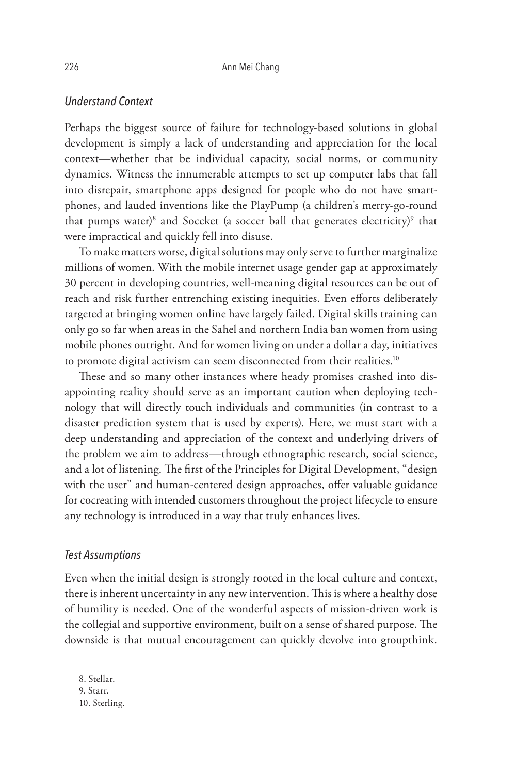#### *Understand Context*

Perhaps the biggest source of failure for technology-based solutions in global development is simply a lack of understanding and appreciation for the local context—whether that be individual capacity, social norms, or community dynamics. Witness the innumerable attempts to set up computer labs that fall into disrepair, smartphone apps designed for people who do not have smartphones, and lauded inventions like the PlayPump (a children's merry-go-round that pumps water)<sup>8</sup> and Soccket (a soccer ball that generates electricity)<sup>9</sup> that were impractical and quickly fell into disuse.

To make matters worse, digital solutions may only serve to further marginalize millions of women. With the mobile internet usage gender gap at approximately 30 percent in developing countries, well-meaning digital resources can be out of reach and risk further entrenching existing inequities. Even efforts deliberately targeted at bringing women online have largely failed. Digital skills training can only go so far when areas in the Sahel and northern India ban women from using mobile phones outright. And for women living on under a dollar a day, initiatives to promote digital activism can seem disconnected from their realities.<sup>10</sup>

These and so many other instances where heady promises crashed into disappointing reality should serve as an important caution when deploying technology that will directly touch individuals and communities (in contrast to a disaster prediction system that is used by experts). Here, we must start with a deep understanding and appreciation of the context and underlying drivers of the problem we aim to address—through ethnographic research, social science, and a lot of listening. The first of the Principles for Digital Development, "design with the user" and human-centered design approaches, offer valuable guidance for cocreating with intended customers throughout the project lifecycle to ensure any technology is introduced in a way that truly enhances lives.

#### *Test Assumptions*

Even when the initial design is strongly rooted in the local culture and context, there is inherent uncertainty in any new intervention. This is where a healthy dose of humility is needed. One of the wonderful aspects of mission-driven work is the collegial and supportive environment, built on a sense of shared purpose. The downside is that mutual encouragement can quickly devolve into groupthink.

8. Stellar. 9. Starr. 10. Sterling.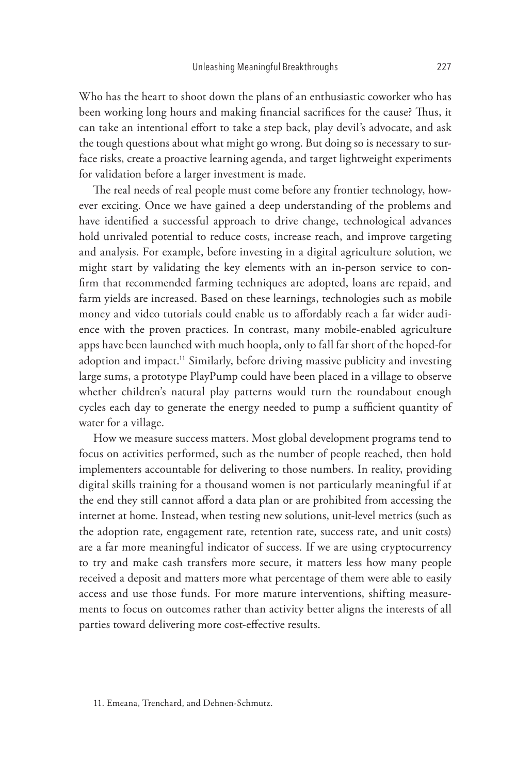Who has the heart to shoot down the plans of an enthusiastic coworker who has been working long hours and making financial sacrifices for the cause? Thus, it can take an intentional effort to take a step back, play devil's advocate, and ask the tough questions about what might go wrong. But doing so is necessary to surface risks, create a proactive learning agenda, and target lightweight experiments for validation before a larger investment is made.

The real needs of real people must come before any frontier technology, however exciting. Once we have gained a deep understanding of the problems and have identified a successful approach to drive change, technological advances hold unrivaled potential to reduce costs, increase reach, and improve targeting and analysis. For example, before investing in a digital agriculture solution, we might start by validating the key elements with an in-person service to confirm that recommended farming techniques are adopted, loans are repaid, and farm yields are increased. Based on these learnings, technologies such as mobile money and video tutorials could enable us to affordably reach a far wider audience with the proven practices. In contrast, many mobile-enabled agriculture apps have been launched with much hoopla, only to fall far short of the hoped-for adoption and impact.<sup>11</sup> Similarly, before driving massive publicity and investing large sums, a prototype PlayPump could have been placed in a village to observe whether children's natural play patterns would turn the roundabout enough cycles each day to generate the energy needed to pump a sufficient quantity of water for a village.

How we measure success matters. Most global development programs tend to focus on activities performed, such as the number of people reached, then hold implementers accountable for delivering to those numbers. In reality, providing digital skills training for a thousand women is not particularly meaningful if at the end they still cannot afford a data plan or are prohibited from accessing the internet at home. Instead, when testing new solutions, unit-level metrics (such as the adoption rate, engagement rate, retention rate, success rate, and unit costs) are a far more meaningful indicator of success. If we are using cryptocurrency to try and make cash transfers more secure, it matters less how many people received a deposit and matters more what percentage of them were able to easily access and use those funds. For more mature interventions, shifting measurements to focus on outcomes rather than activity better aligns the interests of all parties toward delivering more cost-effective results.

<sup>11.</sup> Emeana, Trenchard, and Dehnen-Schmutz.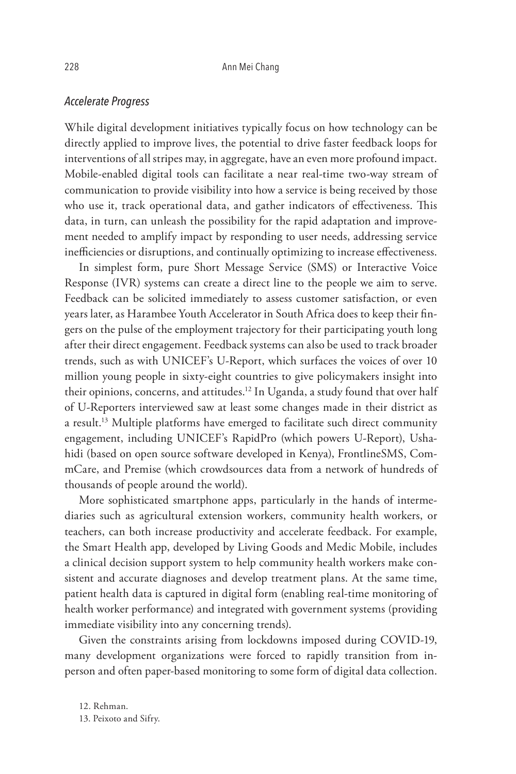## *Accelerate Progress*

While digital development initiatives typically focus on how technology can be directly applied to improve lives, the potential to drive faster feedback loops for interventions of all stripes may, in aggregate, have an even more profound impact. Mobile-enabled digital tools can facilitate a near real-time two-way stream of communication to provide visibility into how a service is being received by those who use it, track operational data, and gather indicators of effectiveness. This data, in turn, can unleash the possibility for the rapid adaptation and improvement needed to amplify impact by responding to user needs, addressing service inefficiencies or disruptions, and continually optimizing to increase effectiveness.

In simplest form, pure Short Message Service (SMS) or Interactive Voice Response (IVR) systems can create a direct line to the people we aim to serve. Feedback can be solicited immediately to assess customer satisfaction, or even years later, as Harambee Youth Accelerator in South Africa does to keep their fingers on the pulse of the employment trajectory for their participating youth long after their direct engagement. Feedback systems can also be used to track broader trends, such as with UNICEF's U-Report, which surfaces the voices of over 10 million young people in sixty-eight countries to give policymakers insight into their opinions, concerns, and attitudes.<sup>12</sup> In Uganda, a study found that over half of U-Reporters interviewed saw at least some changes made in their district as a result.<sup>13</sup> Multiple platforms have emerged to facilitate such direct community engagement, including UNICEF's RapidPro (which powers U-Report), Ushahidi (based on open source software developed in Kenya), FrontlineSMS, CommCare, and Premise (which crowdsources data from a network of hundreds of thousands of people around the world).

More sophisticated smartphone apps, particularly in the hands of intermediaries such as agricultural extension workers, community health workers, or teachers, can both increase productivity and accelerate feedback. For example, the Smart Health app, developed by Living Goods and Medic Mobile, includes a clinical decision support system to help community health workers make consistent and accurate diagnoses and develop treatment plans. At the same time, patient health data is captured in digital form (enabling real-time monitoring of health worker performance) and integrated with government systems (providing immediate visibility into any concerning trends).

Given the constraints arising from lockdowns imposed during COVID-19, many development organizations were forced to rapidly transition from inperson and often paper-based monitoring to some form of digital data collection.

12. Rehman. 13. Peixoto and Sifry.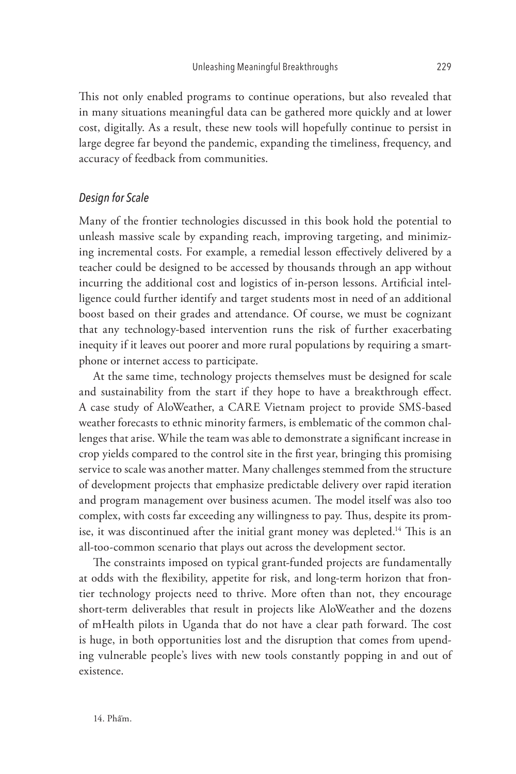This not only enabled programs to continue operations, but also revealed that in many situations meaningful data can be gathered more quickly and at lower cost, digitally. As a result, these new tools will hopefully continue to persist in large degree far beyond the pandemic, expanding the timeliness, frequency, and accuracy of feedback from communities.

#### *Design for Scale*

Many of the frontier technologies discussed in this book hold the potential to unleash massive scale by expanding reach, improving targeting, and minimizing incremental costs. For example, a remedial lesson effectively delivered by a teacher could be designed to be accessed by thousands through an app without incurring the additional cost and logistics of in-person lessons. Artificial intelligence could further identify and target students most in need of an additional boost based on their grades and attendance. Of course, we must be cognizant that any technology-based intervention runs the risk of further exacerbating inequity if it leaves out poorer and more rural populations by requiring a smartphone or internet access to participate.

At the same time, technology projects themselves must be designed for scale and sustainability from the start if they hope to have a breakthrough effect. A case study of AloWeather, a CARE Vietnam project to provide SMS-based weather forecasts to ethnic minority farmers, is emblematic of the common challenges that arise. While the team was able to demonstrate a significant increase in crop yields compared to the control site in the first year, bringing this promising service to scale was another matter. Many challenges stemmed from the structure of development projects that emphasize predictable delivery over rapid iteration and program management over business acumen. The model itself was also too complex, with costs far exceeding any willingness to pay. Thus, despite its promise, it was discontinued after the initial grant money was depleted.<sup>14</sup> This is an all-too-common scenario that plays out across the development sector.

The constraints imposed on typical grant-funded projects are fundamentally at odds with the flexibility, appetite for risk, and long-term horizon that frontier technology projects need to thrive. More often than not, they encourage short-term deliverables that result in projects like AloWeather and the dozens of mHealth pilots in Uganda that do not have a clear path forward. The cost is huge, in both opportunities lost and the disruption that comes from upending vulnerable people's lives with new tools constantly popping in and out of existence.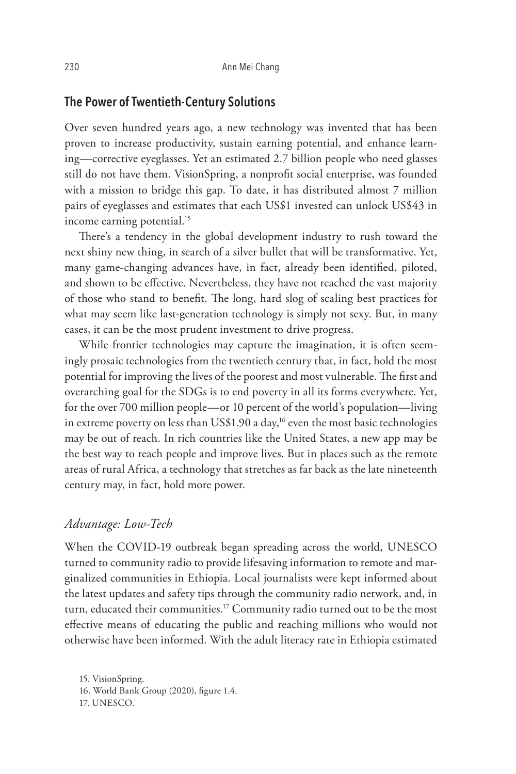# **The Power of Twentieth-Century Solutions**

Over seven hundred years ago, a new technology was invented that has been proven to increase productivity, sustain earning potential, and enhance learning—corrective eyeglasses. Yet an estimated 2.7 billion people who need glasses still do not have them. VisionSpring, a nonprofit social enterprise, was founded with a mission to bridge this gap. To date, it has distributed almost 7 million pairs of eyeglasses and estimates that each US\$1 invested can unlock US\$43 in income earning potential.<sup>15</sup>

There's a tendency in the global development industry to rush toward the next shiny new thing, in search of a silver bullet that will be transformative. Yet, many game-changing advances have, in fact, already been identified, piloted, and shown to be effective. Nevertheless, they have not reached the vast majority of those who stand to benefit. The long, hard slog of scaling best practices for what may seem like last-generation technology is simply not sexy. But, in many cases, it can be the most prudent investment to drive progress.

While frontier technologies may capture the imagination, it is often seemingly prosaic technologies from the twentieth century that, in fact, hold the most potential for improving the lives of the poorest and most vulnerable. The first and overarching goal for the SDGs is to end poverty in all its forms everywhere. Yet, for the over 700 million people—or 10 percent of the world's population—living in extreme poverty on less than US\$1.90 a day,<sup>16</sup> even the most basic technologies may be out of reach. In rich countries like the United States, a new app may be the best way to reach people and improve lives. But in places such as the remote areas of rural Africa, a technology that stretches as far back as the late nineteenth century may, in fact, hold more power.

## *Advantage: Low-Tech*

When the COVID-19 outbreak began spreading across the world, UNESCO turned to community radio to provide lifesaving information to remote and marginalized communities in Ethiopia. Local journalists were kept informed about the latest updates and safety tips through the community radio network, and, in turn, educated their communities.<sup>17</sup> Community radio turned out to be the most effective means of educating the public and reaching millions who would not otherwise have been informed. With the adult literacy rate in Ethiopia estimated

15. VisionSpring. 16. World Bank Group (2020), figure 1.4. 17. UNESCO.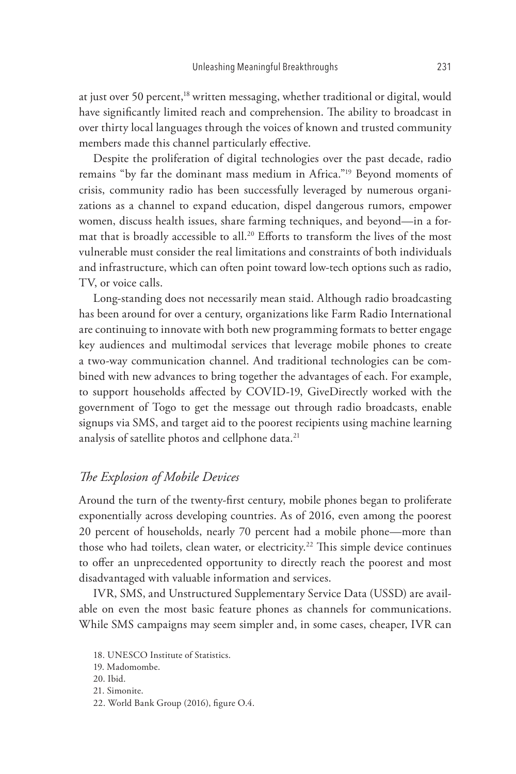at just over 50 percent,<sup>18</sup> written messaging, whether traditional or digital, would have significantly limited reach and comprehension. The ability to broadcast in over thirty local languages through the voices of known and trusted community members made this channel particularly effective.

Despite the proliferation of digital technologies over the past decade, radio remains "by far the dominant mass medium in Africa."19 Beyond moments of crisis, community radio has been successfully leveraged by numerous organizations as a channel to expand education, dispel dangerous rumors, empower women, discuss health issues, share farming techniques, and beyond—in a format that is broadly accessible to all.<sup>20</sup> Efforts to transform the lives of the most vulnerable must consider the real limitations and constraints of both individuals and infrastructure, which can often point toward low-tech options such as radio, TV, or voice calls.

Long-standing does not necessarily mean staid. Although radio broadcasting has been around for over a century, organizations like Farm Radio International are continuing to innovate with both new programming formats to better engage key audiences and multimodal services that leverage mobile phones to create a two-way communication channel. And traditional technologies can be combined with new advances to bring together the advantages of each. For example, to support households affected by COVID-19, GiveDirectly worked with the government of Togo to get the message out through radio broadcasts, enable signups via SMS, and target aid to the poorest recipients using machine learning analysis of satellite photos and cellphone data.<sup>21</sup>

## *The Explosion of Mobile Devices*

Around the turn of the twenty-first century, mobile phones began to proliferate exponentially across developing countries. As of 2016, even among the poorest 20 percent of households, nearly 70 percent had a mobile phone—more than those who had toilets, clean water, or electricity.<sup>22</sup> This simple device continues to offer an unprecedented opportunity to directly reach the poorest and most disadvantaged with valuable information and services.

IVR, SMS, and Unstructured Supplementary Service Data (USSD) are available on even the most basic feature phones as channels for communications. While SMS campaigns may seem simpler and, in some cases, cheaper, IVR can

21. Simonite.

<sup>18.</sup> UNESCO Institute of Statistics.

<sup>19.</sup> Madomombe.

<sup>20.</sup> Ibid.

<sup>22.</sup> World Bank Group (2016), figure O.4.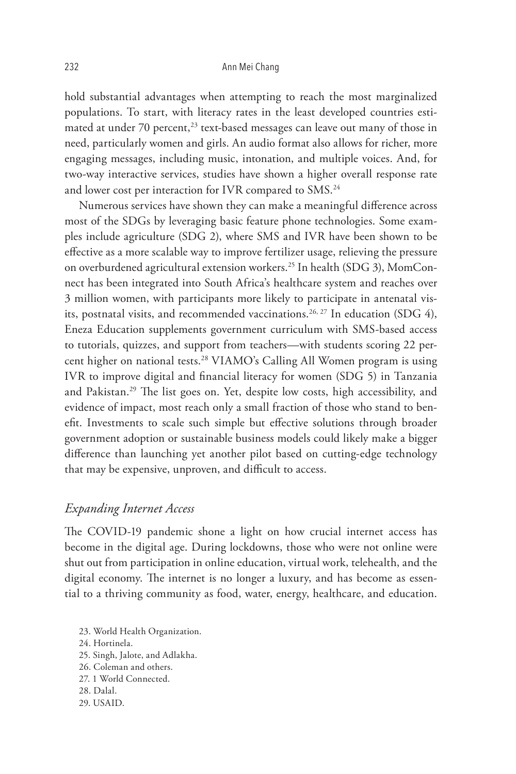hold substantial advantages when attempting to reach the most marginalized populations. To start, with literacy rates in the least developed countries estimated at under 70 percent,<sup>23</sup> text-based messages can leave out many of those in need, particularly women and girls. An audio format also allows for richer, more engaging messages, including music, intonation, and multiple voices. And, for two-way interactive services, studies have shown a higher overall response rate and lower cost per interaction for IVR compared to SMS.<sup>24</sup>

Numerous services have shown they can make a meaningful difference across most of the SDGs by leveraging basic feature phone technologies. Some examples include agriculture (SDG 2), where SMS and IVR have been shown to be effective as a more scalable way to improve fertilizer usage, relieving the pressure on overburdened agricultural extension workers.25 In health (SDG 3), MomConnect has been integrated into South Africa's healthcare system and reaches over 3 million women, with participants more likely to participate in antenatal visits, postnatal visits, and recommended vaccinations.<sup>26, 27</sup> In education (SDG 4), Eneza Education supplements government curriculum with SMS-based access to tutorials, quizzes, and support from teachers—with students scoring 22 percent higher on national tests.28 VIAMO's Calling All Women program is using IVR to improve digital and financial literacy for women (SDG 5) in Tanzania and Pakistan.29 The list goes on. Yet, despite low costs, high accessibility, and evidence of impact, most reach only a small fraction of those who stand to benefit. Investments to scale such simple but effective solutions through broader government adoption or sustainable business models could likely make a bigger difference than launching yet another pilot based on cutting-edge technology that may be expensive, unproven, and difficult to access.

#### *Expanding Internet Access*

The COVID-19 pandemic shone a light on how crucial internet access has become in the digital age. During lockdowns, those who were not online were shut out from participation in online education, virtual work, telehealth, and the digital economy. The internet is no longer a luxury, and has become as essential to a thriving community as food, water, energy, healthcare, and education.

23. World Health Organization. 24. Hortinela. 25. Singh, Jalote, and Adlakha. 26. Coleman and others. 27. 1 World Connected. 28. Dalal. 29. USAID.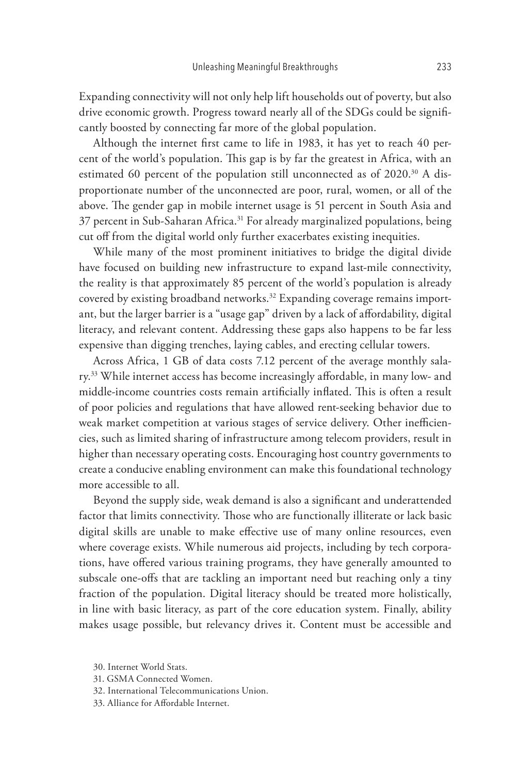Expanding connectivity will not only help lift households out of poverty, but also drive economic growth. Progress toward nearly all of the SDGs could be significantly boosted by connecting far more of the global population.

Although the internet first came to life in 1983, it has yet to reach 40 percent of the world's population. This gap is by far the greatest in Africa, with an estimated 60 percent of the population still unconnected as of 2020.<sup>30</sup> A disproportionate number of the unconnected are poor, rural, women, or all of the above. The gender gap in mobile internet usage is 51 percent in South Asia and 37 percent in Sub-Saharan Africa.31 For already marginalized populations, being cut off from the digital world only further exacerbates existing inequities.

While many of the most prominent initiatives to bridge the digital divide have focused on building new infrastructure to expand last-mile connectivity, the reality is that approximately 85 percent of the world's population is already covered by existing broadband networks.<sup>32</sup> Expanding coverage remains important, but the larger barrier is a "usage gap" driven by a lack of affordability, digital literacy, and relevant content. Addressing these gaps also happens to be far less expensive than digging trenches, laying cables, and erecting cellular towers.

Across Africa, 1 GB of data costs 7.12 percent of the average monthly salary.<sup>33</sup> While internet access has become increasingly affordable, in many low- and middle-income countries costs remain artificially inflated. This is often a result of poor policies and regulations that have allowed rent-seeking behavior due to weak market competition at various stages of service delivery. Other inefficiencies, such as limited sharing of infrastructure among telecom providers, result in higher than necessary operating costs. Encouraging host country governments to create a conducive enabling environment can make this foundational technology more accessible to all.

Beyond the supply side, weak demand is also a significant and underattended factor that limits connectivity. Those who are functionally illiterate or lack basic digital skills are unable to make effective use of many online resources, even where coverage exists. While numerous aid projects, including by tech corporations, have offered various training programs, they have generally amounted to subscale one-offs that are tackling an important need but reaching only a tiny fraction of the population. Digital literacy should be treated more holistically, in line with basic literacy, as part of the core education system. Finally, ability makes usage possible, but relevancy drives it. Content must be accessible and

<sup>30.</sup> Internet World Stats.

<sup>31.</sup> GSMA Connected Women.

<sup>32.</sup> International Telecommunications Union.

<sup>33.</sup> Alliance for Affordable Internet.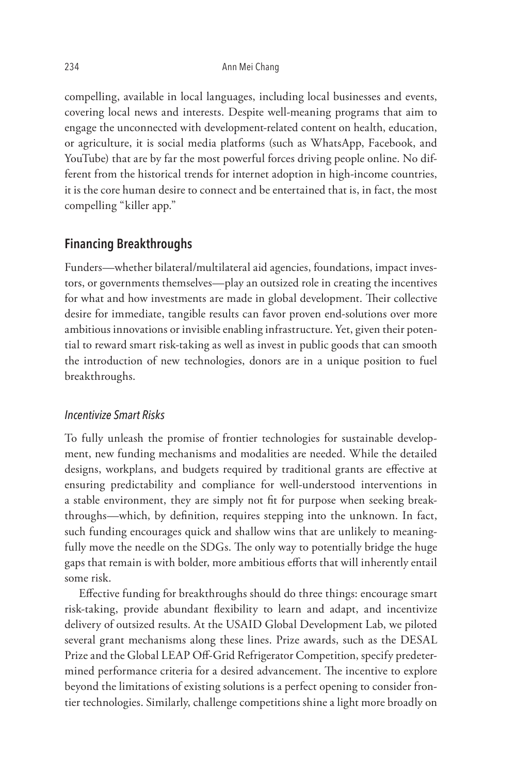compelling, available in local languages, including local businesses and events, covering local news and interests. Despite well-meaning programs that aim to engage the unconnected with development-related content on health, education, or agriculture, it is social media platforms (such as WhatsApp, Facebook, and YouTube) that are by far the most powerful forces driving people online. No different from the historical trends for internet adoption in high-income countries, it is the core human desire to connect and be entertained that is, in fact, the most compelling "killer app."

# **Financing Breakthroughs**

Funders—whether bilateral/multilateral aid agencies, foundations, impact investors, or governments themselves—play an outsized role in creating the incentives for what and how investments are made in global development. Their collective desire for immediate, tangible results can favor proven end-solutions over more ambitious innovations or invisible enabling infrastructure. Yet, given their potential to reward smart risk-taking as well as invest in public goods that can smooth the introduction of new technologies, donors are in a unique position to fuel breakthroughs.

#### *Incentivize Smart Risks*

To fully unleash the promise of frontier technologies for sustainable development, new funding mechanisms and modalities are needed. While the detailed designs, workplans, and budgets required by traditional grants are effective at ensuring predictability and compliance for well-understood interventions in a stable environment, they are simply not fit for purpose when seeking breakthroughs—which, by definition, requires stepping into the unknown. In fact, such funding encourages quick and shallow wins that are unlikely to meaningfully move the needle on the SDGs. The only way to potentially bridge the huge gaps that remain is with bolder, more ambitious efforts that will inherently entail some risk.

Effective funding for breakthroughs should do three things: encourage smart risk-taking, provide abundant flexibility to learn and adapt, and incentivize delivery of outsized results. At the USAID Global Development Lab, we piloted several grant mechanisms along these lines. Prize awards, such as the DESAL Prize and the Global LEAP Off-Grid Refrigerator Competition, specify predetermined performance criteria for a desired advancement. The incentive to explore beyond the limitations of existing solutions is a perfect opening to consider frontier technologies. Similarly, challenge competitions shine a light more broadly on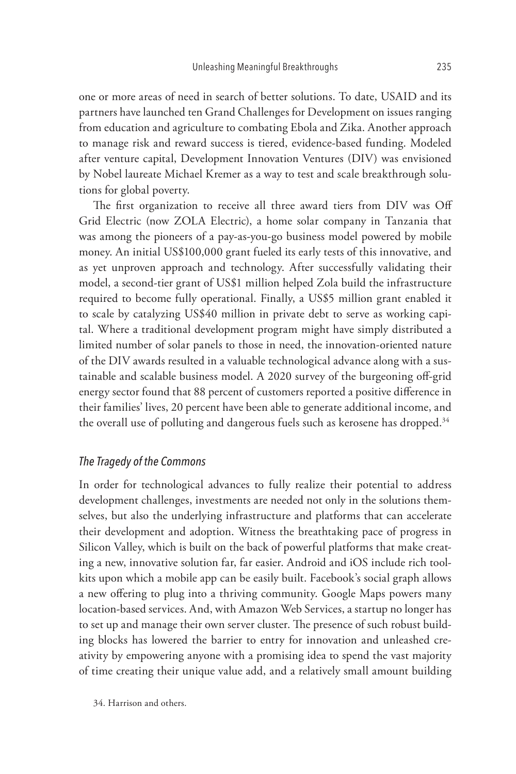one or more areas of need in search of better solutions. To date, USAID and its partners have launched ten Grand Challenges for Development on issues ranging from education and agriculture to combating Ebola and Zika. Another approach to manage risk and reward success is tiered, evidence-based funding. Modeled after venture capital, Development Innovation Ventures (DIV) was envisioned by Nobel laureate Michael Kremer as a way to test and scale breakthrough solutions for global poverty.

The first organization to receive all three award tiers from DIV was Off Grid Electric (now ZOLA Electric), a home solar company in Tanzania that was among the pioneers of a pay-as-you-go business model powered by mobile money. An initial US\$100,000 grant fueled its early tests of this innovative, and as yet unproven approach and technology. After successfully validating their model, a second-tier grant of US\$1 million helped Zola build the infrastructure required to become fully operational. Finally, a US\$5 million grant enabled it to scale by catalyzing US\$40 million in private debt to serve as working capital. Where a traditional development program might have simply distributed a limited number of solar panels to those in need, the innovation-oriented nature of the DIV awards resulted in a valuable technological advance along with a sustainable and scalable business model. A 2020 survey of the burgeoning off-grid energy sector found that 88 percent of customers reported a positive difference in their families' lives, 20 percent have been able to generate additional income, and the overall use of polluting and dangerous fuels such as kerosene has dropped.<sup>34</sup>

### *The Tragedy of the Commons*

In order for technological advances to fully realize their potential to address development challenges, investments are needed not only in the solutions themselves, but also the underlying infrastructure and platforms that can accelerate their development and adoption. Witness the breathtaking pace of progress in Silicon Valley, which is built on the back of powerful platforms that make creating a new, innovative solution far, far easier. Android and iOS include rich toolkits upon which a mobile app can be easily built. Facebook's social graph allows a new offering to plug into a thriving community. Google Maps powers many location-based services. And, with Amazon Web Services, a startup no longer has to set up and manage their own server cluster. The presence of such robust building blocks has lowered the barrier to entry for innovation and unleashed creativity by empowering anyone with a promising idea to spend the vast majority of time creating their unique value add, and a relatively small amount building

34. Harrison and others.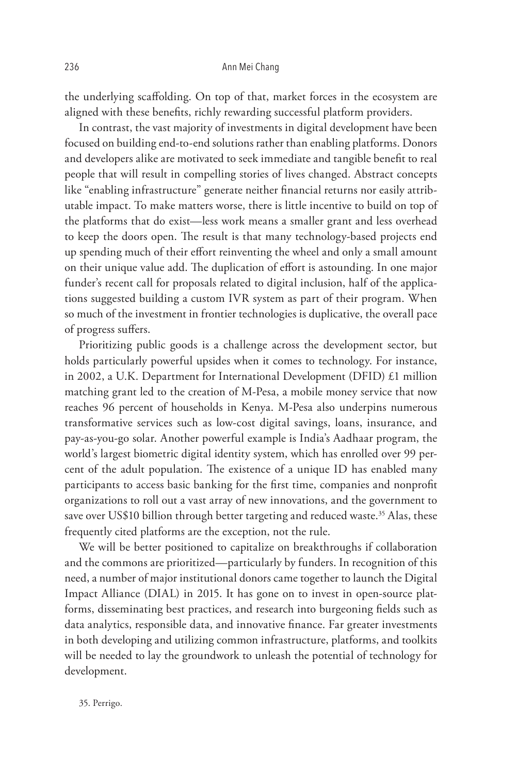the underlying scaffolding. On top of that, market forces in the ecosystem are aligned with these benefits, richly rewarding successful platform providers.

In contrast, the vast majority of investments in digital development have been focused on building end-to-end solutions rather than enabling platforms. Donors and developers alike are motivated to seek immediate and tangible benefit to real people that will result in compelling stories of lives changed. Abstract concepts like "enabling infrastructure" generate neither financial returns nor easily attributable impact. To make matters worse, there is little incentive to build on top of the platforms that do exist—less work means a smaller grant and less overhead to keep the doors open. The result is that many technology-based projects end up spending much of their effort reinventing the wheel and only a small amount on their unique value add. The duplication of effort is astounding. In one major funder's recent call for proposals related to digital inclusion, half of the applications suggested building a custom IVR system as part of their program. When so much of the investment in frontier technologies is duplicative, the overall pace of progress suffers.

Prioritizing public goods is a challenge across the development sector, but holds particularly powerful upsides when it comes to technology. For instance, in 2002, a U.K. Department for International Development (DFID) £1 million matching grant led to the creation of M-Pesa, a mobile money service that now reaches 96 percent of households in Kenya. M-Pesa also underpins numerous transformative services such as low-cost digital savings, loans, insurance, and pay-as-you-go solar. Another powerful example is India's Aadhaar program, the world's largest biometric digital identity system, which has enrolled over 99 percent of the adult population. The existence of a unique ID has enabled many participants to access basic banking for the first time, companies and nonprofit organizations to roll out a vast array of new innovations, and the government to save over US\$10 billion through better targeting and reduced waste.<sup>35</sup> Alas, these frequently cited platforms are the exception, not the rule.

We will be better positioned to capitalize on breakthroughs if collaboration and the commons are prioritized—particularly by funders. In recognition of this need, a number of major institutional donors came together to launch the Digital Impact Alliance (DIAL) in 2015. It has gone on to invest in open-source platforms, disseminating best practices, and research into burgeoning fields such as data analytics, responsible data, and innovative finance. Far greater investments in both developing and utilizing common infrastructure, platforms, and toolkits will be needed to lay the groundwork to unleash the potential of technology for development.

35. Perrigo.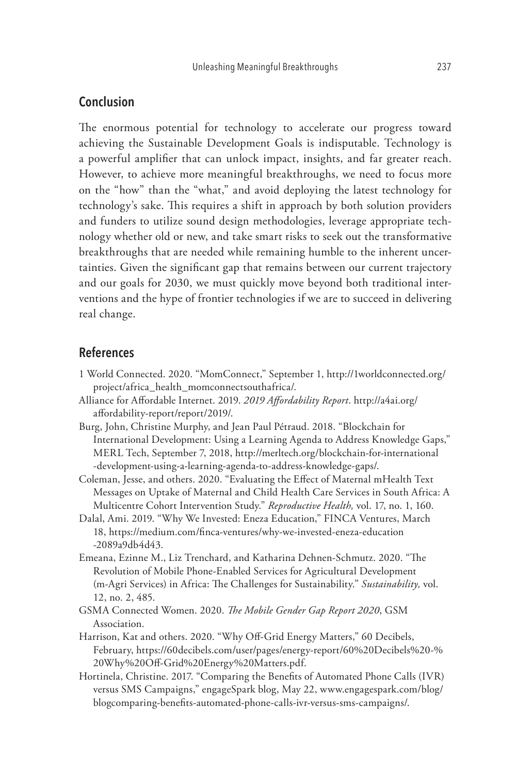# **Conclusion**

The enormous potential for technology to accelerate our progress toward achieving the Sustainable Development Goals is indisputable. Technology is a powerful amplifier that can unlock impact, insights, and far greater reach. However, to achieve more meaningful breakthroughs, we need to focus more on the "how" than the "what," and avoid deploying the latest technology for technology's sake. This requires a shift in approach by both solution providers and funders to utilize sound design methodologies, leverage appropriate technology whether old or new, and take smart risks to seek out the transformative breakthroughs that are needed while remaining humble to the inherent uncertainties. Given the significant gap that remains between our current trajectory and our goals for 2030, we must quickly move beyond both traditional interventions and the hype of frontier technologies if we are to succeed in delivering real change.

# **References**

- 1 World Connected. 2020. "MomConnect," September 1, http://1worldconnected.org/ project/africa\_health\_momconnectsouthafrica/.
- Alliance for Affordable Internet. 2019. *2019 Affordability Report*. http://a4ai.org/ affordability-report/report/2019/.
- Burg, John, Christine Murphy, and Jean Paul Pétraud. 2018. "Blockchain for International Development: Using a Learning Agenda to Address Knowledge Gaps," MERL Tech, September 7, 2018, http://merltech.org/blockchain-for-international -development-using-a-learning-agenda-to-address-knowledge-gaps/.
- Coleman, Jesse, and others. 2020. "Evaluating the Effect of Maternal mHealth Text Messages on Uptake of Maternal and Child Health Care Services in South Africa: A Multicentre Cohort Intervention Study." *Reproductive Health,* vol. 17, no. 1, 160.
- Dalal, Ami. 2019. "Why We Invested: Eneza Education," FINCA Ventures, March 18, https://medium.com/finca-ventures/why-we-invested-eneza-education -2089a9db4d43.
- Emeana, Ezinne M., Liz Trenchard, and Katharina Dehnen-Schmutz. 2020. "The Revolution of Mobile Phone-Enabled Services for Agricultural Development (m-Agri Services) in Africa: The Challenges for Sustainability." *Sustainability,* vol. 12, no. 2, 485.
- GSMA Connected Women. 2020. *The Mobile Gender Gap Report 2020*, GSM Association.
- Harrison, Kat and others. 2020. "Why Off-Grid Energy Matters," 60 Decibels, February, https://60decibels.com/user/pages/energy-report/60%20Decibels%20-% 20Why%20Off-Grid%20Energy%20Matters.pdf.
- Hortinela, Christine. 2017. "Comparing the Benefits of Automated Phone Calls (IVR) versus SMS Campaigns," engageSpark blog, May 22, www.engagespark.com/blog/ blogcomparing-benefits-automated-phone-calls-ivr-versus-sms-campaigns/.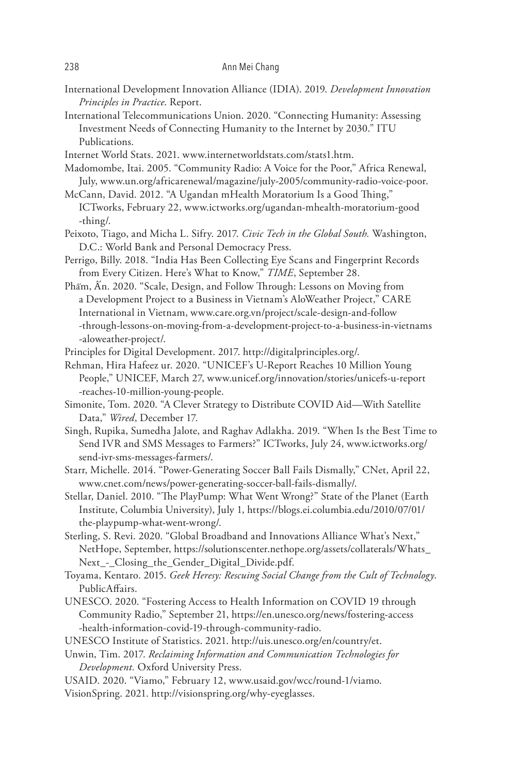#### 238 Ann Mei Chang

International Development Innovation Alliance (IDIA). 2019. *Development Innovation Principles in Practice*. Report.

International Telecommunications Union. 2020. "Connecting Humanity: Assessing Investment Needs of Connecting Humanity to the Internet by 2030." ITU Publications.

Internet World Stats. 2021. www.internetworldstats.com/stats1.htm.

- Madomombe, Itai. 2005. "Community Radio: A Voice for the Poor," Africa Renewal, July, www.un.org/africarenewal/magazine/july-2005/community-radio-voice-poor.
- McCann, David. 2012. "A Ugandan mHealth Moratorium Is a Good Thing," ICTworks, February 22, www.ictworks.org/ugandan-mhealth-moratorium-good -thing/.
- Peixoto, Tiago, and Micha L. Sifry. 2017. *Civic Tech in the Global South.* Washington, D.C.: World Bank and Personal Democracy Press.
- Perrigo, Billy. 2018. "India Has Been Collecting Eye Scans and Fingerprint Records from Every Citizen. Here's What to Know," *TIME*, September 28.
- Phẩm, Ấn. 2020. "Scale, Design, and Follow Through: Lessons on Moving from a Development Project to a Business in Vietnam's AloWeather Project," CARE International in Vietnam, www.care.org.vn/project/scale-design-and-follow -through-lessons-on-moving-from-a-development-project-to-a-business-in-vietnams -aloweather-project/.
- Principles for Digital Development. 2017. http://digitalprinciples.org/.
- Rehman, Hira Hafeez ur. 2020. "UNICEF's U-Report Reaches 10 Million Young People," UNICEF, March 27, www.unicef.org/innovation/stories/unicefs-u-report -reaches-10-million-young-people.
- Simonite, Tom. 2020. "A Clever Strategy to Distribute COVID Aid—With Satellite Data," *Wired*, December 17.
- Singh, Rupika, Sumedha Jalote, and Raghav Adlakha. 2019. "When Is the Best Time to Send IVR and SMS Messages to Farmers?" ICTworks, July 24, www.ictworks.org/ send-ivr-sms-messages-farmers/.

Starr, Michelle. 2014. "Power-Generating Soccer Ball Fails Dismally," CNet, April 22, www.cnet.com/news/power-generating-soccer-ball-fails-dismally/.

- Stellar, Daniel. 2010. "The PlayPump: What Went Wrong?" State of the Planet (Earth Institute, Columbia University), July 1, https://blogs.ei.columbia.edu/2010/07/01/ the-playpump-what-went-wrong/.
- Sterling, S. Revi. 2020. "Global Broadband and Innovations Alliance What's Next," NetHope, September, https://solutionscenter.nethope.org/assets/collaterals/Whats\_ Next\_-\_Closing\_the\_Gender\_Digital\_Divide.pdf.
- Toyama, Kentaro. 2015. *Geek Heresy: Rescuing Social Change from the Cult of Technology*. PublicAffairs.
- UNESCO. 2020. "Fostering Access to Health Information on COVID 19 through Community Radio," September 21, https://en.unesco.org/news/fostering-access -health-information-covid-19-through-community-radio.
- UNESCO Institute of Statistics. 2021. http://uis.unesco.org/en/country/et.
- Unwin, Tim. 2017. *Reclaiming Information and Communication Technologies for Development.* Oxford University Press.
- USAID. 2020. "Viamo," February 12, www.usaid.gov/wcc/round-1/viamo.
- VisionSpring. 2021. http://visionspring.org/why-eyeglasses.